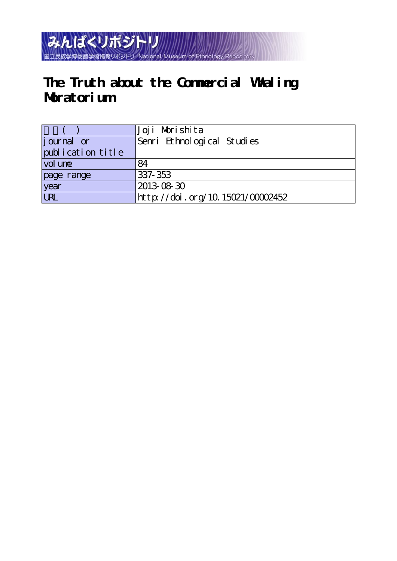

# **The Truth about the Commercial Whaling Moratorium**

|                   | Joji Morishita                   |
|-------------------|----------------------------------|
| journal or        | Senri Ethnological Studies       |
| publication title |                                  |
| vol une           | 84                               |
| page range        | 337-353                          |
| year              | 2013-08-30                       |
| URL.              | http://doi.org/10.15021/00002452 |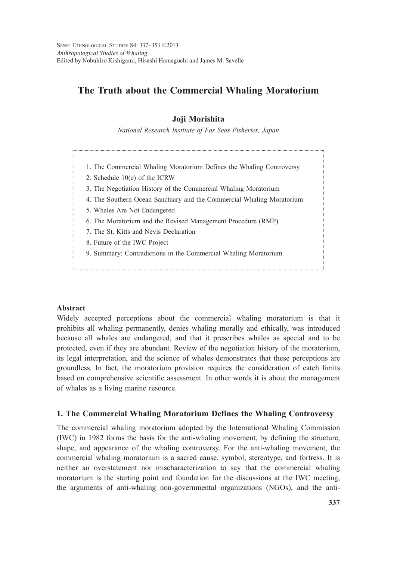# **The Truth about the Commercial Whaling Moratorium**

# **Joji Morishita**

*National Research Institute of Far Seas Fisheries, Japan*

- 1. The Commercial Whaling Moratorium Defines the Whaling Controversy
- 2. Schedule 10(e) of the ICRW
- 3. The Negotiation History of the Commercial Whaling Moratorium
- 4. The Southern Ocean Sanctuary and the Commercial Whaling Moratorium
- 5. Whales Are Not Endangered
- 6. The Moratorium and the Revised Management Procedure (RMP)
- 7. The St. Kitts and Nevis Declaration
- 8. Future of the IWC Project
- 9. Summary: Contradictions in the Commercial Whaling Moratorium

#### **Abstract**

Widely accepted perceptions about the commercial whaling moratorium is that it prohibits all whaling permanently, denies whaling morally and ethically, was introduced because all whales are endangered, and that it prescribes whales as special and to be protected, even if they are abundant. Review of the negotiation history of the moratorium, its legal interpretation, and the science of whales demonstrates that these perceptions are groundless. In fact, the moratorium provision requires the consideration of catch limits based on comprehensive scientific assessment. In other words it is about the management of whales as a living marine resource.

# **1. The Commercial Whaling Moratorium Defines the Whaling Controversy**

The commercial whaling moratorium adopted by the International Whaling Commission (IWC) in 1982 forms the basis for the anti-whaling movement, by defining the structure, shape, and appearance of the whaling controversy. For the anti-whaling movement, the commercial whaling moratorium is a sacred cause, symbol, stereotype, and fortress. It is neither an overstatement nor mischaracterization to say that the commercial whaling moratorium is the starting point and foundation for the discussions at the IWC meeting, the arguments of anti-whaling non-governmental organizations (NGOs), and the anti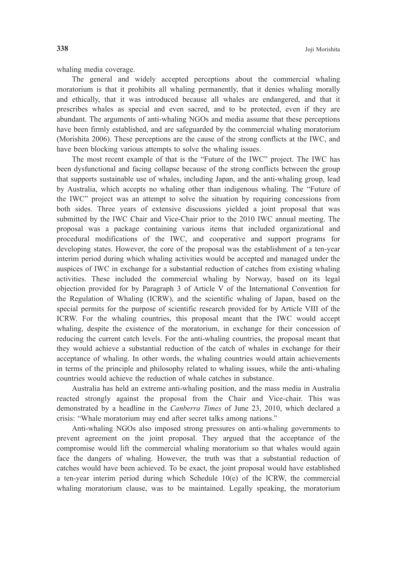whaling media coverage.

 The general and widely accepted perceptions about the commercial whaling moratorium is that it prohibits all whaling permanently, that it denies whaling morally and ethically, that it was introduced because all whales are endangered, and that it prescribes whales as special and even sacred, and to be protected, even if they are abundant. The arguments of anti-whaling NGOs and media assume that these perceptions have been firmly established, and are safeguarded by the commercial whaling moratorium (Morishita 2006). These perceptions are the cause of the strong conflicts at the IWC, and have been blocking various attempts to solve the whaling issues.

 The most recent example of that is the "Future of the IWC" project. The IWC has been dysfunctional and facing collapse because of the strong conflicts between the group that supports sustainable use of whales, including Japan, and the anti-whaling group, lead by Australia, which accepts no whaling other than indigenous whaling. The "Future of the IWC" project was an attempt to solve the situation by requiring concessions from both sides. Three years of extensive discussions yielded a joint proposal that was submitted by the IWC Chair and Vice-Chair prior to the 2010 IWC annual meeting. The proposal was a package containing various items that included organizational and procedural modifications of the IWC, and cooperative and support programs for developing states. However, the core of the proposal was the establishment of a ten-year interim period during which whaling activities would be accepted and managed under the auspices of IWC in exchange for a substantial reduction of catches from existing whaling activities. These included the commercial whaling by Norway, based on its legal objection provided for by Paragraph 3 of Article V of the International Convention for the Regulation of Whaling (ICRW), and the scientific whaling of Japan, based on the special permits for the purpose of scientific research provided for by Article VIII of the ICRW. For the whaling countries, this proposal meant that the IWC would accept whaling, despite the existence of the moratorium, in exchange for their concession of reducing the current catch levels. For the anti-whaling countries, the proposal meant that they would achieve a substantial reduction of the catch of whales in exchange for their acceptance of whaling. In other words, the whaling countries would attain achievements in terms of the principle and philosophy related to whaling issues, while the anti-whaling countries would achieve the reduction of whale catches in substance.

 Australia has held an extreme anti-whaling position, and the mass media in Australia reacted strongly against the proposal from the Chair and Vice-chair. This was demonstrated by a headline in the *Canberra Times* of June 23, 2010, which declared a crisis: "Whale moratorium may end after secret talks among nations."

 Anti-whaling NGOs also imposed strong pressures on anti-whaling governments to prevent agreement on the joint proposal. They argued that the acceptance of the compromise would lift the commercial whaling moratorium so that whales would again face the dangers of whaling. However, the truth was that a substantial reduction of catches would have been achieved. To be exact, the joint proposal would have established a ten-year interim period during which Schedule  $10(e)$  of the ICRW, the commercial whaling moratorium clause, was to be maintained. Legally speaking, the moratorium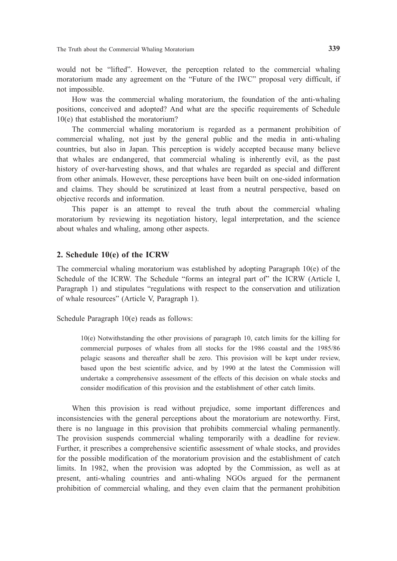would not be "lifted". However, the perception related to the commercial whaling moratorium made any agreement on the "Future of the IWC" proposal very difficult, if not impossible.

 How was the commercial whaling moratorium, the foundation of the anti-whaling positions, conceived and adopted? And what are the specific requirements of Schedule 10(e) that established the moratorium?

 The commercial whaling moratorium is regarded as a permanent prohibition of commercial whaling, not just by the general public and the media in anti-whaling countries, but also in Japan. This perception is widely accepted because many believe that whales are endangered, that commercial whaling is inherently evil, as the past history of over-harvesting shows, and that whales are regarded as special and different from other animals. However, these perceptions have been built on one-sided information and claims. They should be scrutinized at least from a neutral perspective, based on objective records and information.

 This paper is an attempt to reveal the truth about the commercial whaling moratorium by reviewing its negotiation history, legal interpretation, and the science about whales and whaling, among other aspects.

## **2. Schedule 10(e) of the ICRW**

The commercial whaling moratorium was established by adopting Paragraph 10(e) of the Schedule of the ICRW. The Schedule "forms an integral part of" the ICRW (Article I, Paragraph 1) and stipulates "regulations with respect to the conservation and utilization of whale resources" (Article V, Paragraph 1).

Schedule Paragraph 10(e) reads as follows:

10(e) Notwithstanding the other provisions of paragraph 10, catch limits for the killing for commercial purposes of whales from all stocks for the 1986 coastal and the 1985/86 pelagic seasons and thereafter shall be zero. This provision will be kept under review, based upon the best scientific advice, and by 1990 at the latest the Commission will undertake a comprehensive assessment of the effects of this decision on whale stocks and consider modification of this provision and the establishment of other catch limits.

 When this provision is read without prejudice, some important differences and inconsistencies with the general perceptions about the moratorium are noteworthy. First, there is no language in this provision that prohibits commercial whaling permanently. The provision suspends commercial whaling temporarily with a deadline for review. Further, it prescribes a comprehensive scientific assessment of whale stocks, and provides for the possible modification of the moratorium provision and the establishment of catch limits. In 1982, when the provision was adopted by the Commission, as well as at present, anti-whaling countries and anti-whaling NGOs argued for the permanent prohibition of commercial whaling, and they even claim that the permanent prohibition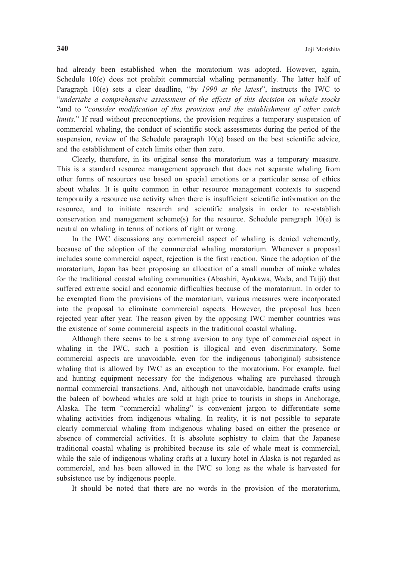had already been established when the moratorium was adopted. However, again, Schedule 10(e) does not prohibit commercial whaling permanently. The latter half of Paragraph 10(e) sets a clear deadline, "*by 1990 at the latest*", instructs the IWC to "*undertake a comprehensive assessment of the effects of this decision on whale stocks* "and to "*consider modification of this provision and the establishment of other catch limits.*" If read without preconceptions, the provision requires a temporary suspension of commercial whaling, the conduct of scientific stock assessments during the period of the suspension, review of the Schedule paragraph  $10(e)$  based on the best scientific advice, and the establishment of catch limits other than zero.

 Clearly, therefore, in its original sense the moratorium was a temporary measure. This is a standard resource management approach that does not separate whaling from other forms of resources use based on special emotions or a particular sense of ethics about whales. It is quite common in other resource management contexts to suspend temporarily a resource use activity when there is insufficient scientific information on the resource, and to initiate research and scientific analysis in order to re-establish conservation and management scheme(s) for the resource. Schedule paragraph  $10(e)$  is neutral on whaling in terms of notions of right or wrong.

 In the IWC discussions any commercial aspect of whaling is denied vehemently, because of the adoption of the commercial whaling moratorium. Whenever a proposal includes some commercial aspect, rejection is the first reaction. Since the adoption of the moratorium, Japan has been proposing an allocation of a small number of minke whales for the traditional coastal whaling communities (Abashiri, Ayukawa, Wada, and Taiji) that suffered extreme social and economic difficulties because of the moratorium. In order to be exempted from the provisions of the moratorium, various measures were incorporated into the proposal to eliminate commercial aspects. However, the proposal has been rejected year after year. The reason given by the opposing IWC member countries was the existence of some commercial aspects in the traditional coastal whaling.

 Although there seems to be a strong aversion to any type of commercial aspect in whaling in the IWC, such a position is illogical and even discriminatory. Some commercial aspects are unavoidable, even for the indigenous (aboriginal) subsistence whaling that is allowed by IWC as an exception to the moratorium. For example, fuel and hunting equipment necessary for the indigenous whaling are purchased through normal commercial transactions. And, although not unavoidable, handmade crafts using the baleen of bowhead whales are sold at high price to tourists in shops in Anchorage, Alaska. The term "commercial whaling" is convenient jargon to differentiate some whaling activities from indigenous whaling. In reality, it is not possible to separate clearly commercial whaling from indigenous whaling based on either the presence or absence of commercial activities. It is absolute sophistry to claim that the Japanese traditional coastal whaling is prohibited because its sale of whale meat is commercial, while the sale of indigenous whaling crafts at a luxury hotel in Alaska is not regarded as commercial, and has been allowed in the IWC so long as the whale is harvested for subsistence use by indigenous people.

It should be noted that there are no words in the provision of the moratorium,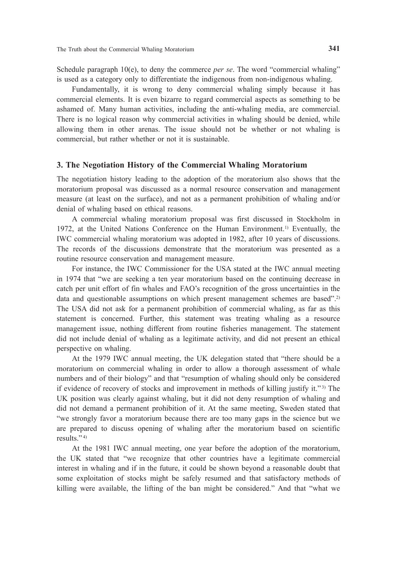Schedule paragraph 10(e), to deny the commerce *per se*. The word "commercial whaling" is used as a category only to differentiate the indigenous from non-indigenous whaling.

 Fundamentally, it is wrong to deny commercial whaling simply because it has commercial elements. It is even bizarre to regard commercial aspects as something to be ashamed of. Many human activities, including the anti-whaling media, are commercial. There is no logical reason why commercial activities in whaling should be denied, while allowing them in other arenas. The issue should not be whether or not whaling is commercial, but rather whether or not it is sustainable.

#### **3. The Negotiation History of the Commercial Whaling Moratorium**

The negotiation history leading to the adoption of the moratorium also shows that the moratorium proposal was discussed as a normal resource conservation and management measure (at least on the surface), and not as a permanent prohibition of whaling and/or denial of whaling based on ethical reasons.

 A commercial whaling moratorium proposal was first discussed in Stockholm in 1972, at the United Nations Conference on the Human Environment.<sup>1)</sup> Eventually, the IWC commercial whaling moratorium was adopted in 1982, after 10 years of discussions. The records of the discussions demonstrate that the moratorium was presented as a routine resource conservation and management measure.

 For instance, the IWC Commissioner for the USA stated at the IWC annual meeting in 1974 that "we are seeking a ten year moratorium based on the continuing decrease in catch per unit effort of fin whales and FAO's recognition of the gross uncertainties in the data and questionable assumptions on which present management schemes are based".2) The USA did not ask for a permanent prohibition of commercial whaling, as far as this statement is concerned. Further, this statement was treating whaling as a resource management issue, nothing different from routine fisheries management. The statement did not include denial of whaling as a legitimate activity, and did not present an ethical perspective on whaling.

 At the 1979 IWC annual meeting, the UK delegation stated that "there should be a moratorium on commercial whaling in order to allow a thorough assessment of whale numbers and of their biology" and that "resumption of whaling should only be considered if evidence of recovery of stocks and improvement in methods of killing justify it." $\mathbf{3}$ ) The UK position was clearly against whaling, but it did not deny resumption of whaling and did not demand a permanent prohibition of it. At the same meeting, Sweden stated that "we strongly favor a moratorium because there are too many gaps in the science but we are prepared to discuss opening of whaling after the moratorium based on scientific results." $4)$ 

 At the 1981 IWC annual meeting, one year before the adoption of the moratorium, the UK stated that "we recognize that other countries have a legitimate commercial interest in whaling and if in the future, it could be shown beyond a reasonable doubt that some exploitation of stocks might be safely resumed and that satisfactory methods of killing were available, the lifting of the ban might be considered." And that "what we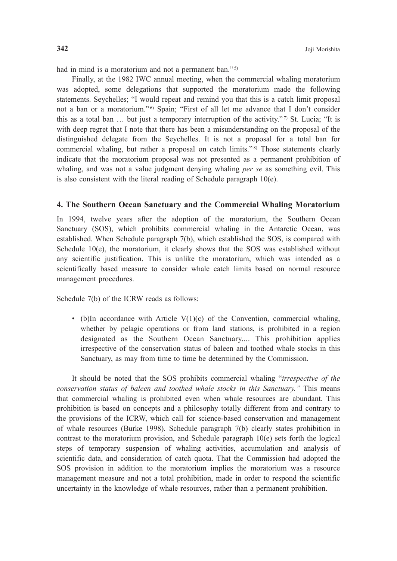had in mind is a moratorium and not a permanent ban." 5)

 Finally, at the 1982 IWC annual meeting, when the commercial whaling moratorium was adopted, some delegations that supported the moratorium made the following statements. Seychelles; "I would repeat and remind you that this is a catch limit proposal not a ban or a moratorium."<sup>6</sup> Spain; "First of all let me advance that I don't consider this as a total ban  $\ldots$  but just a temporary interruption of the activity."<sup>7</sup>) St. Lucia; "It is with deep regret that I note that there has been a misunderstanding on the proposal of the distinguished delegate from the Seychelles. It is not a proposal for a total ban for commercial whaling, but rather a proposal on catch limits."<sup>8)</sup> Those statements clearly indicate that the moratorium proposal was not presented as a permanent prohibition of whaling, and was not a value judgment denying whaling *per se* as something evil. This is also consistent with the literal reading of Schedule paragraph 10(e).

#### **4. The Southern Ocean Sanctuary and the Commercial Whaling Moratorium**

In 1994, twelve years after the adoption of the moratorium, the Southern Ocean Sanctuary (SOS), which prohibits commercial whaling in the Antarctic Ocean, was established. When Schedule paragraph 7(b), which established the SOS, is compared with Schedule 10(e), the moratorium, it clearly shows that the SOS was established without any scientific justification. This is unlike the moratorium, which was intended as a scientifically based measure to consider whale catch limits based on normal resource management procedures.

Schedule 7(b) of the ICRW reads as follows:

• (b)In accordance with Article  $V(1)(c)$  of the Convention, commercial whaling, whether by pelagic operations or from land stations, is prohibited in a region designated as the Southern Ocean Sanctuary.... This prohibition applies irrespective of the conservation status of baleen and toothed whale stocks in this Sanctuary, as may from time to time be determined by the Commission.

 It should be noted that the SOS prohibits commercial whaling "*irrespective of the conservation status of baleen and toothed whale stocks in this Sanctuary."* This means that commercial whaling is prohibited even when whale resources are abundant. This prohibition is based on concepts and a philosophy totally different from and contrary to the provisions of the ICRW, which call for science-based conservation and management of whale resources (Burke 1998). Schedule paragraph 7(b) clearly states prohibition in contrast to the moratorium provision, and Schedule paragraph 10(e) sets forth the logical steps of temporary suspension of whaling activities, accumulation and analysis of scientific data, and consideration of catch quota. That the Commission had adopted the SOS provision in addition to the moratorium implies the moratorium was a resource management measure and not a total prohibition, made in order to respond the scientific uncertainty in the knowledge of whale resources, rather than a permanent prohibition.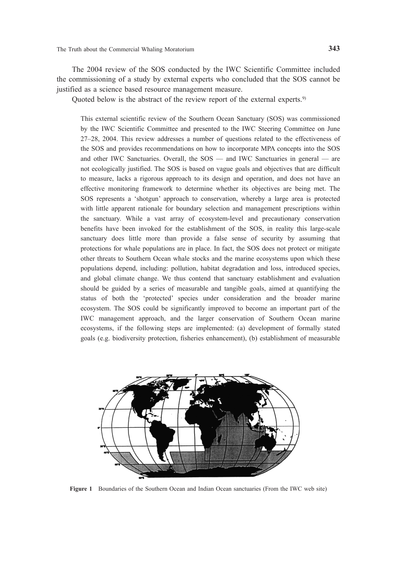The 2004 review of the SOS conducted by the IWC Scientific Committee included the commissioning of a study by external experts who concluded that the SOS cannot be justified as a science based resource management measure.

Quoted below is the abstract of the review report of the external experts.<sup>9)</sup>

This external scientific review of the Southern Ocean Sanctuary (SOS) was commissioned by the IWC Scientific Committee and presented to the IWC Steering Committee on June 27–28, 2004. This review addresses a number of questions related to the effectiveness of the SOS and provides recommendations on how to incorporate MPA concepts into the SOS and other IWC Sanctuaries. Overall, the SOS — and IWC Sanctuaries in general — are not ecologically justified. The SOS is based on vague goals and objectives that are difficult to measure, lacks a rigorous approach to its design and operation, and does not have an effective monitoring framework to determine whether its objectives are being met. The SOS represents a 'shotgun' approach to conservation, whereby a large area is protected with little apparent rationale for boundary selection and management prescriptions within the sanctuary. While a vast array of ecosystem-level and precautionary conservation benefits have been invoked for the establishment of the SOS, in reality this large-scale sanctuary does little more than provide a false sense of security by assuming that protections for whale populations are in place. In fact, the SOS does not protect or mitigate other threats to Southern Ocean whale stocks and the marine ecosystems upon which these populations depend, including: pollution, habitat degradation and loss, introduced species, and global climate change. We thus contend that sanctuary establishment and evaluation should be guided by a series of measurable and tangible goals, aimed at quantifying the status of both the 'protected' species under consideration and the broader marine ecosystem. The SOS could be significantly improved to become an important part of the IWC management approach, and the larger conservation of Southern Ocean marine ecosystems, if the following steps are implemented: (a) development of formally stated goals (e.g. biodiversity protection, fisheries enhancement), (b) establishment of measurable



**Figure 1** Boundaries of the Southern Ocean and Indian Ocean sanctuaries (From the IWC web site)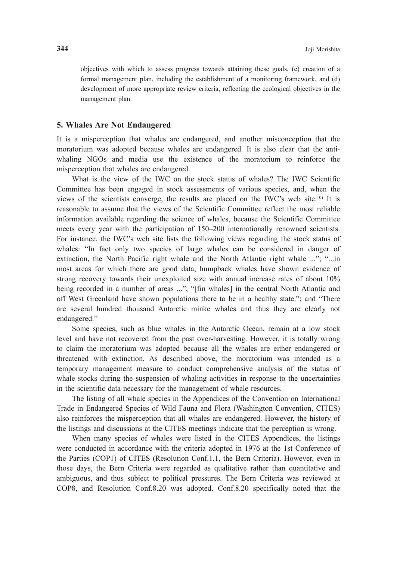objectives with which to assess progress towards attaining these goals, (c) creation of a formal management plan, including the establishment of a monitoring framework, and (d) development of more appropriate review criteria, reflecting the ecological objectives in the management plan.

#### **5. Whales Are Not Endangered**

It is a misperception that whales are endangered, and another misconception that the moratorium was adopted because whales are endangered. It is also clear that the antiwhaling NGOs and media use the existence of the moratorium to reinforce the misperception that whales are endangered.

 What is the view of the IWC on the stock status of whales? The IWC Scientific Committee has been engaged in stock assessments of various species, and, when the views of the scientists converge, the results are placed on the IWC's web site.10) It is reasonable to assume that the views of the Scientific Committee reflect the most reliable information available regarding the science of whales, because the Scientific Committee meets every year with the participation of 150–200 internationally renowned scientists. For instance, the IWC's web site lists the following views regarding the stock status of whales: "In fact only two species of large whales can be considered in danger of extinction, the North Pacific right whale and the North Atlantic right whale ..."; "...in most areas for which there are good data, humpback whales have shown evidence of strong recovery towards their unexploited size with annual increase rates of about 10% being recorded in a number of areas ..."; "[fin whales] in the central North Atlantic and off West Greenland have shown populations there to be in a healthy state."; and "There are several hundred thousand Antarctic minke whales and thus they are clearly not endangered."

 Some species, such as blue whales in the Antarctic Ocean, remain at a low stock level and have not recovered from the past over-harvesting. However, it is totally wrong to claim the moratorium was adopted because all the whales are either endangered or threatened with extinction. As described above, the moratorium was intended as a temporary management measure to conduct comprehensive analysis of the status of whale stocks during the suspension of whaling activities in response to the uncertainties in the scientific data necessary for the management of whale resources.

 The listing of all whale species in the Appendices of the Convention on International Trade in Endangered Species of Wild Fauna and Flora (Washington Convention, CITES) also reinforces the misperception that all whales are endangered. However, the history of the listings and discussions at the CITES meetings indicate that the perception is wrong.

 When many species of whales were listed in the CITES Appendices, the listings were conducted in accordance with the criteria adopted in 1976 at the 1st Conference of the Parties (COP1) of CITES (Resolution Conf.1.1, the Bern Criteria). However, even in those days, the Bern Criteria were regarded as qualitative rather than quantitative and ambiguous, and thus subject to political pressures. The Bern Criteria was reviewed at COP8, and Resolution Conf.8.20 was adopted. Conf.8.20 specifically noted that the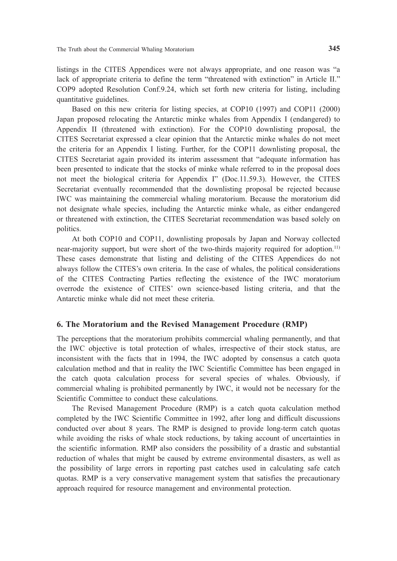listings in the CITES Appendices were not always appropriate, and one reason was "a lack of appropriate criteria to define the term "threatened with extinction" in Article II." COP9 adopted Resolution Conf.9.24, which set forth new criteria for listing, including quantitative guidelines.

 Based on this new criteria for listing species, at COP10 (1997) and COP11 (2000) Japan proposed relocating the Antarctic minke whales from Appendix I (endangered) to Appendix II (threatened with extinction). For the COP10 downlisting proposal, the CITES Secretariat expressed a clear opinion that the Antarctic minke whales do not meet the criteria for an Appendix I listing. Further, for the COP11 downlisting proposal, the CITES Secretariat again provided its interim assessment that "adequate information has been presented to indicate that the stocks of minke whale referred to in the proposal does not meet the biological criteria for Appendix I" (Doc.11.59.3). However, the CITES Secretariat eventually recommended that the downlisting proposal be rejected because IWC was maintaining the commercial whaling moratorium. Because the moratorium did not designate whale species, including the Antarctic minke whale, as either endangered or threatened with extinction, the CITES Secretariat recommendation was based solely on politics.

 At both COP10 and COP11, downlisting proposals by Japan and Norway collected near-majority support, but were short of the two-thirds majority required for adoption.11) These cases demonstrate that listing and delisting of the CITES Appendices do not always follow the CITES's own criteria. In the case of whales, the political considerations of the CITES Contracting Parties reflecting the existence of the IWC moratorium overrode the existence of CITES' own science-based listing criteria, and that the Antarctic minke whale did not meet these criteria.

# **6. The Moratorium and the Revised Management Procedure (RMP)**

The perceptions that the moratorium prohibits commercial whaling permanently, and that the IWC objective is total protection of whales, irrespective of their stock status, are inconsistent with the facts that in 1994, the IWC adopted by consensus a catch quota calculation method and that in reality the IWC Scientific Committee has been engaged in the catch quota calculation process for several species of whales. Obviously, if commercial whaling is prohibited permanently by IWC, it would not be necessary for the Scientific Committee to conduct these calculations.

 The Revised Management Procedure (RMP) is a catch quota calculation method completed by the IWC Scientific Committee in 1992, after long and difficult discussions conducted over about 8 years. The RMP is designed to provide long-term catch quotas while avoiding the risks of whale stock reductions, by taking account of uncertainties in the scientific information. RMP also considers the possibility of a drastic and substantial reduction of whales that might be caused by extreme environmental disasters, as well as the possibility of large errors in reporting past catches used in calculating safe catch quotas. RMP is a very conservative management system that satisfies the precautionary approach required for resource management and environmental protection.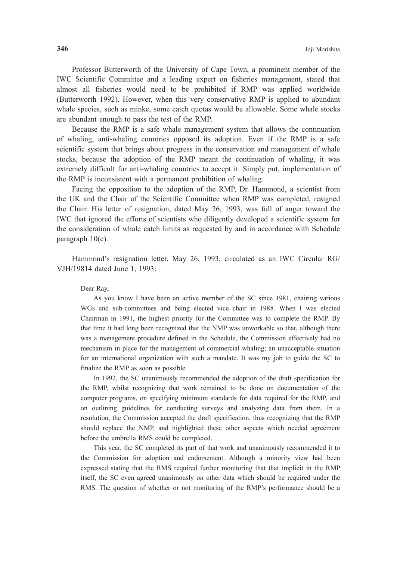Professor Butterworth of the University of Cape Town, a prominent member of the IWC Scientific Committee and a leading expert on fisheries management, stated that almost all fisheries would need to be prohibited if RMP was applied worldwide (Butterworth 1992). However, when this very conservative RMP is applied to abundant whale species, such as minke, some catch quotas would be allowable. Some whale stocks are abundant enough to pass the test of the RMP.

 Because the RMP is a safe whale management system that allows the continuation of whaling, anti-whaling countries opposed its adoption. Even if the RMP is a safe scientific system that brings about progress in the conservation and management of whale stocks, because the adoption of the RMP meant the continuation of whaling, it was extremely difficult for anti-whaling countries to accept it. Simply put, implementation of the RMP is inconsistent with a permanent prohibition of whaling.

 Facing the opposition to the adoption of the RMP, Dr. Hammond, a scientist from the UK and the Chair of the Scientific Committee when RMP was completed, resigned the Chair. His letter of resignation, dated May 26, 1993, was full of anger toward the IWC that ignored the efforts of scientists who diligently developed a scientific system for the consideration of whale catch limits as requested by and in accordance with Schedule paragraph 10(e).

 Hammond's resignation letter, May 26, 1993, circulated as an IWC Circular RG/ VJH/19814 dated June 1, 1993:

#### Dear Ray,

 As you know I have been an active member of the SC since 1981, chairing various WGs and sub-committees and being elected vice chair in 1988. When I was elected Chairman in 1991, the highest priority for the Committee was to complete the RMP. By that time it had long been recognized that the NMP was unworkable so that, although there was a management procedure defined in the Schedule, the Commission effectively had no mechanism in place for the management of commercial whaling; an unacceptable situation for an international organization with such a mandate. It was my job to guide the SC to finalize the RMP as soon as possible.

 In 1992, the SC unanimously recommended the adoption of the draft specification for the RMP, whilst recognizing that work remained to be done on documentation of the computer programs, on specifying minimum standards for data required for the RMP, and on outlining guidelines for conducting surveys and analyzing data from them. In a resolution, the Commission accepted the draft specification, thus recognizing that the RMP should replace the NMP, and highlighted these other aspects which needed agreement before the umbrella RMS could be completed.

 This year, the SC completed its part of that work and unanimously recommended it to the Commission for adoption and endorsement. Although a minority view had been expressed stating that the RMS required further monitoring that that implicit in the RMP itself, the SC even agreed unanimously on other data which should be required under the RMS. The question of whether or not monitoring of the RMP's performance should be a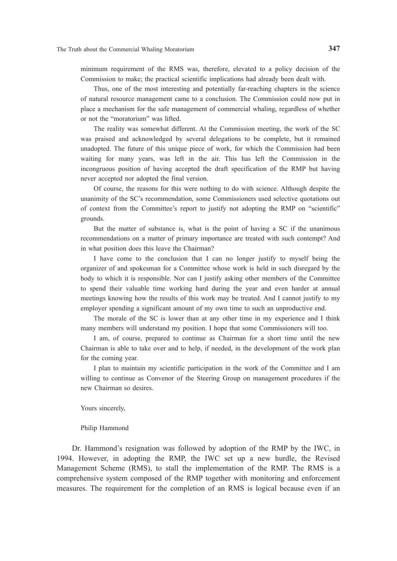minimum requirement of the RMS was, therefore, elevated to a policy decision of the Commission to make; the practical scientific implications had already been dealt with.

 Thus, one of the most interesting and potentially far-reaching chapters in the science of natural resource management came to a conclusion. The Commission could now put in place a mechanism for the safe management of commercial whaling, regardless of whether or not the "moratorium" was lifted.

 The reality was somewhat different. At the Commission meeting, the work of the SC was praised and acknowledged by several delegations to be complete, but it remained unadopted. The future of this unique piece of work, for which the Commission had been waiting for many years, was left in the air. This has left the Commission in the incongruous position of having accepted the draft specification of the RMP but having never accepted nor adopted the final version.

 Of course, the reasons for this were nothing to do with science. Although despite the unanimity of the SC's recommendation, some Commissioners used selective quotations out of context from the Committee's report to justify not adopting the RMP on "scientific" grounds.

 But the matter of substance is, what is the point of having a SC if the unanimous recommendations on a matter of primary importance are treated with such contempt? And in what position does this leave the Chairman?

 I have come to the conclusion that I can no longer justify to myself being the organizer of and spokesman for a Committee whose work is held in such disregard by the body to which it is responsible. Nor can I justify asking other members of the Committee to spend their valuable time working hard during the year and even harder at annual meetings knowing how the results of this work may be treated. And I cannot justify to my employer spending a significant amount of my own time to such an unproductive end.

 The morale of the SC is lower than at any other time in my experience and I think many members will understand my position. I hope that some Commissioners will too.

 I am, of course, prepared to continue as Chairman for a short time until the new Chairman is able to take over and to help, if needed, in the development of the work plan for the coming year.

 I plan to maintain my scientific participation in the work of the Committee and I am willing to continue as Convenor of the Steering Group on management procedures if the new Chairman so desires.

Yours sincerely,

Philip Hammond

 Dr. Hammond's resignation was followed by adoption of the RMP by the IWC, in 1994. However, in adopting the RMP, the IWC set up a new hurdle, the Revised Management Scheme (RMS), to stall the implementation of the RMP. The RMS is a comprehensive system composed of the RMP together with monitoring and enforcement measures. The requirement for the completion of an RMS is logical because even if an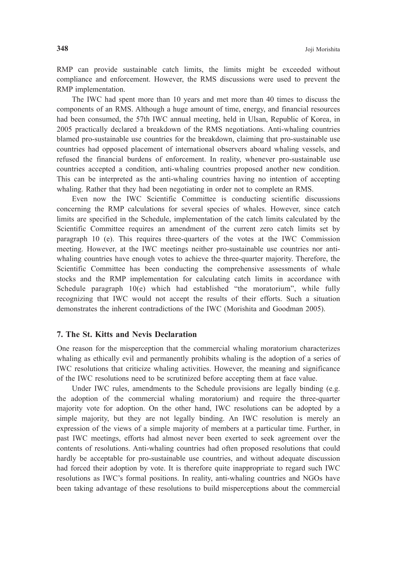RMP can provide sustainable catch limits, the limits might be exceeded without compliance and enforcement. However, the RMS discussions were used to prevent the RMP implementation.

 The IWC had spent more than 10 years and met more than 40 times to discuss the components of an RMS. Although a huge amount of time, energy, and financial resources had been consumed, the 57th IWC annual meeting, held in Ulsan, Republic of Korea, in 2005 practically declared a breakdown of the RMS negotiations. Anti-whaling countries blamed pro-sustainable use countries for the breakdown, claiming that pro-sustainable use countries had opposed placement of international observers aboard whaling vessels, and refused the financial burdens of enforcement. In reality, whenever pro-sustainable use countries accepted a condition, anti-whaling countries proposed another new condition. This can be interpreted as the anti-whaling countries having no intention of accepting whaling. Rather that they had been negotiating in order not to complete an RMS.

 Even now the IWC Scientific Committee is conducting scientific discussions concerning the RMP calculations for several species of whales. However, since catch limits are specified in the Schedule, implementation of the catch limits calculated by the Scientific Committee requires an amendment of the current zero catch limits set by paragraph 10 (e). This requires three-quarters of the votes at the IWC Commission meeting. However, at the IWC meetings neither pro-sustainable use countries nor antiwhaling countries have enough votes to achieve the three-quarter majority. Therefore, the Scientific Committee has been conducting the comprehensive assessments of whale stocks and the RMP implementation for calculating catch limits in accordance with Schedule paragraph 10(e) which had established "the moratorium", while fully recognizing that IWC would not accept the results of their efforts. Such a situation demonstrates the inherent contradictions of the IWC (Morishita and Goodman 2005).

## **7. The St. Kitts and Nevis Declaration**

One reason for the misperception that the commercial whaling moratorium characterizes whaling as ethically evil and permanently prohibits whaling is the adoption of a series of IWC resolutions that criticize whaling activities. However, the meaning and significance of the IWC resolutions need to be scrutinized before accepting them at face value.

Under IWC rules, amendments to the Schedule provisions are legally binding (e.g. the adoption of the commercial whaling moratorium) and require the three-quarter majority vote for adoption. On the other hand, IWC resolutions can be adopted by a simple majority, but they are not legally binding. An IWC resolution is merely an expression of the views of a simple majority of members at a particular time. Further, in past IWC meetings, efforts had almost never been exerted to seek agreement over the contents of resolutions. Anti-whaling countries had often proposed resolutions that could hardly be acceptable for pro-sustainable use countries, and without adequate discussion had forced their adoption by vote. It is therefore quite inappropriate to regard such IWC resolutions as IWC's formal positions. In reality, anti-whaling countries and NGOs have been taking advantage of these resolutions to build misperceptions about the commercial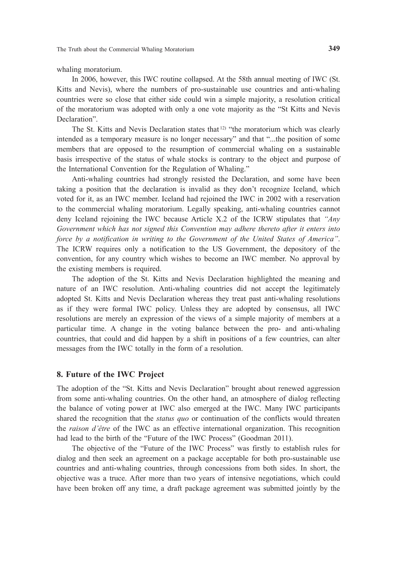whaling moratorium.

 In 2006, however, this IWC routine collapsed. At the 58th annual meeting of IWC (St. Kitts and Nevis), where the numbers of pro-sustainable use countries and anti-whaling countries were so close that either side could win a simple majority, a resolution critical of the moratorium was adopted with only a one vote majority as the "St Kitts and Nevis Declaration".

The St. Kitts and Nevis Declaration states that <sup>12)</sup> "the moratorium which was clearly intended as a temporary measure is no longer necessary" and that "...the position of some members that are opposed to the resumption of commercial whaling on a sustainable basis irrespective of the status of whale stocks is contrary to the object and purpose of the International Convention for the Regulation of Whaling."

 Anti-whaling countries had strongly resisted the Declaration, and some have been taking a position that the declaration is invalid as they don't recognize Iceland, which voted for it, as an IWC member. Iceland had rejoined the IWC in 2002 with a reservation to the commercial whaling moratorium. Legally speaking, anti-whaling countries cannot deny Iceland rejoining the IWC because Article X.2 of the ICRW stipulates that *"Any Government which has not signed this Convention may adhere thereto after it enters into force by a notification in writing to the Government of the United States of America"*. The ICRW requires only a notification to the US Government, the depository of the convention, for any country which wishes to become an IWC member. No approval by the existing members is required.

 The adoption of the St. Kitts and Nevis Declaration highlighted the meaning and nature of an IWC resolution. Anti-whaling countries did not accept the legitimately adopted St. Kitts and Nevis Declaration whereas they treat past anti-whaling resolutions as if they were formal IWC policy. Unless they are adopted by consensus, all IWC resolutions are merely an expression of the views of a simple majority of members at a particular time. A change in the voting balance between the pro- and anti-whaling countries, that could and did happen by a shift in positions of a few countries, can alter messages from the IWC totally in the form of a resolution.

#### **8. Future of the IWC Project**

The adoption of the "St. Kitts and Nevis Declaration" brought about renewed aggression from some anti-whaling countries. On the other hand, an atmosphere of dialog reflecting the balance of voting power at IWC also emerged at the IWC. Many IWC participants shared the recognition that the *status quo* or continuation of the conflicts would threaten the *raison d'être* of the IWC as an effective international organization. This recognition had lead to the birth of the "Future of the IWC Process" (Goodman 2011).

 The objective of the "Future of the IWC Process" was firstly to establish rules for dialog and then seek an agreement on a package acceptable for both pro-sustainable use countries and anti-whaling countries, through concessions from both sides. In short, the objective was a truce. After more than two years of intensive negotiations, which could have been broken off any time, a draft package agreement was submitted jointly by the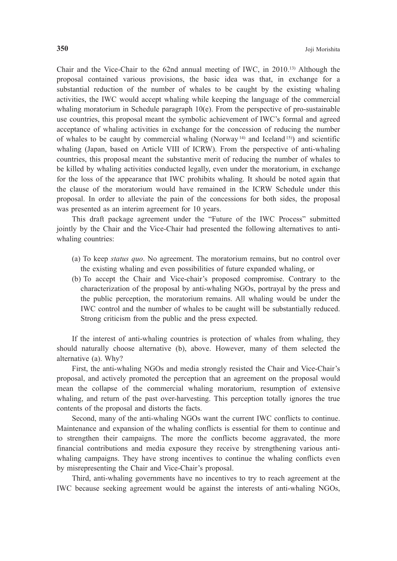Chair and the Vice-Chair to the 62nd annual meeting of IWC, in 2010.13) Although the proposal contained various provisions, the basic idea was that, in exchange for a substantial reduction of the number of whales to be caught by the existing whaling activities, the IWC would accept whaling while keeping the language of the commercial whaling moratorium in Schedule paragraph  $10(e)$ . From the perspective of pro-sustainable use countries, this proposal meant the symbolic achievement of IWC's formal and agreed acceptance of whaling activities in exchange for the concession of reducing the number of whales to be caught by commercial whaling (Norway<sup>14)</sup> and Iceland<sup>15)</sup>) and scientific whaling (Japan, based on Article VIII of ICRW). From the perspective of anti-whaling countries, this proposal meant the substantive merit of reducing the number of whales to be killed by whaling activities conducted legally, even under the moratorium, in exchange for the loss of the appearance that IWC prohibits whaling. It should be noted again that the clause of the moratorium would have remained in the ICRW Schedule under this proposal. In order to alleviate the pain of the concessions for both sides, the proposal was presented as an interim agreement for 10 years.

 This draft package agreement under the "Future of the IWC Process" submitted jointly by the Chair and the Vice-Chair had presented the following alternatives to antiwhaling countries:

- (a) To keep *status quo*. No agreement. The moratorium remains, but no control over the existing whaling and even possibilities of future expanded whaling, or
- (b) To accept the Chair and Vice-chair's proposed compromise. Contrary to the characterization of the proposal by anti-whaling NGOs, portrayal by the press and the public perception, the moratorium remains. All whaling would be under the IWC control and the number of whales to be caught will be substantially reduced. Strong criticism from the public and the press expected.

 If the interest of anti-whaling countries is protection of whales from whaling, they should naturally choose alternative (b), above. However, many of them selected the alternative (a). Why?

 First, the anti-whaling NGOs and media strongly resisted the Chair and Vice-Chair's proposal, and actively promoted the perception that an agreement on the proposal would mean the collapse of the commercial whaling moratorium, resumption of extensive whaling, and return of the past over-harvesting. This perception totally ignores the true contents of the proposal and distorts the facts.

 Second, many of the anti-whaling NGOs want the current IWC conflicts to continue. Maintenance and expansion of the whaling conflicts is essential for them to continue and to strengthen their campaigns. The more the conflicts become aggravated, the more financial contributions and media exposure they receive by strengthening various antiwhaling campaigns. They have strong incentives to continue the whaling conflicts even by misrepresenting the Chair and Vice-Chair's proposal.

 Third, anti-whaling governments have no incentives to try to reach agreement at the IWC because seeking agreement would be against the interests of anti-whaling NGOs,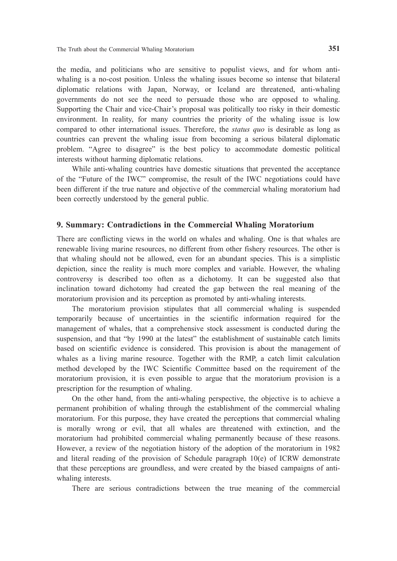the media, and politicians who are sensitive to populist views, and for whom antiwhaling is a no-cost position. Unless the whaling issues become so intense that bilateral diplomatic relations with Japan, Norway, or Iceland are threatened, anti-whaling governments do not see the need to persuade those who are opposed to whaling. Supporting the Chair and vice-Chair's proposal was politically too risky in their domestic environment. In reality, for many countries the priority of the whaling issue is low compared to other international issues. Therefore, the *status quo* is desirable as long as countries can prevent the whaling issue from becoming a serious bilateral diplomatic problem. "Agree to disagree" is the best policy to accommodate domestic political interests without harming diplomatic relations.

 While anti-whaling countries have domestic situations that prevented the acceptance of the "Future of the IWC" compromise, the result of the IWC negotiations could have been different if the true nature and objective of the commercial whaling moratorium had been correctly understood by the general public.

# **9. Summary: Contradictions in the Commercial Whaling Moratorium**

There are conflicting views in the world on whales and whaling. One is that whales are renewable living marine resources, no different from other fishery resources. The other is that whaling should not be allowed, even for an abundant species. This is a simplistic depiction, since the reality is much more complex and variable. However, the whaling controversy is described too often as a dichotomy. It can be suggested also that inclination toward dichotomy had created the gap between the real meaning of the moratorium provision and its perception as promoted by anti-whaling interests.

 The moratorium provision stipulates that all commercial whaling is suspended temporarily because of uncertainties in the scientific information required for the management of whales, that a comprehensive stock assessment is conducted during the suspension, and that "by 1990 at the latest" the establishment of sustainable catch limits based on scientific evidence is considered. This provision is about the management of whales as a living marine resource. Together with the RMP, a catch limit calculation method developed by the IWC Scientific Committee based on the requirement of the moratorium provision, it is even possible to argue that the moratorium provision is a prescription for the resumption of whaling.

 On the other hand, from the anti-whaling perspective, the objective is to achieve a permanent prohibition of whaling through the establishment of the commercial whaling moratorium. For this purpose, they have created the perceptions that commercial whaling is morally wrong or evil, that all whales are threatened with extinction, and the moratorium had prohibited commercial whaling permanently because of these reasons. However, a review of the negotiation history of the adoption of the moratorium in 1982 and literal reading of the provision of Schedule paragraph 10(e) of ICRW demonstrate that these perceptions are groundless, and were created by the biased campaigns of antiwhaling interests.

There are serious contradictions between the true meaning of the commercial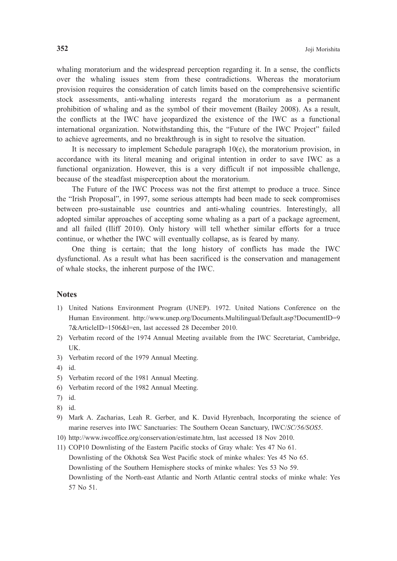whaling moratorium and the widespread perception regarding it. In a sense, the conflicts over the whaling issues stem from these contradictions. Whereas the moratorium provision requires the consideration of catch limits based on the comprehensive scientific stock assessments, anti-whaling interests regard the moratorium as a permanent prohibition of whaling and as the symbol of their movement (Bailey 2008). As a result, the conflicts at the IWC have jeopardized the existence of the IWC as a functional international organization. Notwithstanding this, the "Future of the IWC Project" failed to achieve agreements, and no breakthrough is in sight to resolve the situation.

It is necessary to implement Schedule paragraph  $10(e)$ , the moratorium provision, in accordance with its literal meaning and original intention in order to save IWC as a functional organization. However, this is a very difficult if not impossible challenge, because of the steadfast misperception about the moratorium.

 The Future of the IWC Process was not the first attempt to produce a truce. Since the "Irish Proposal", in 1997, some serious attempts had been made to seek compromises between pro-sustainable use countries and anti-whaling countries. Interestingly, all adopted similar approaches of accepting some whaling as a part of a package agreement, and all failed (Iliff 2010). Only history will tell whether similar efforts for a truce continue, or whether the IWC will eventually collapse, as is feared by many.

 One thing is certain; that the long history of conflicts has made the IWC dysfunctional. As a result what has been sacrificed is the conservation and management of whale stocks, the inherent purpose of the IWC.

#### **Notes**

- 1) United Nations Environment Program (UNEP). 1972. United Nations Conference on the Human Environment. http://www.unep.org/Documents.Multilingual/Default.asp?DocumentID=9 7&ArticleID=1506&l=en, last accessed 28 December 2010.
- 2) Verbatim record of the 1974 Annual Meeting available from the IWC Secretariat, Cambridge, UK.
- 3) Verbatim record of the 1979 Annual Meeting.
- 4) id.
- 5) Verbatim record of the 1981 Annual Meeting.
- 6) Verbatim record of the 1982 Annual Meeting.
- 7) id.
- 8) id.
- 9) Mark A. Zacharias, Leah R. Gerber, and K. David Hyrenbach, Incorporating the science of marine reserves into IWC Sanctuaries: The Southern Ocean Sanctuary, IWC/*SC/56/SOS5*.
- 10) http://www.iwcoffice.org/conservation/estimate.htm, last accessed 18 Nov 2010.
- 11) COP10 Downlisting of the Eastern Pacific stocks of Gray whale: Yes 47 No 61. Downlisting of the Okhotsk Sea West Pacific stock of minke whales: Yes 45 No 65. Downlisting of the Southern Hemisphere stocks of minke whales: Yes 53 No 59. Downlisting of the North-east Atlantic and North Atlantic central stocks of minke whale: Yes 57 No 51.